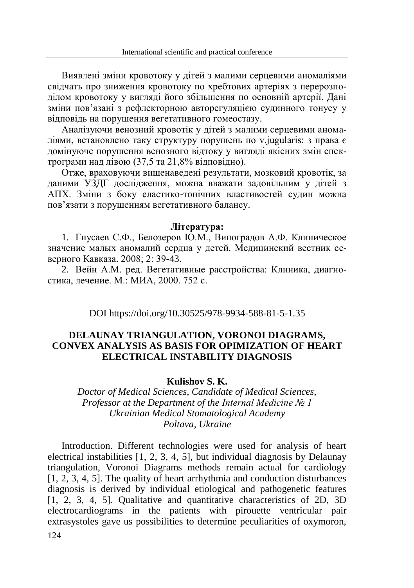Виявлені зміни кровотоку у дітей з малими серцевими аномаліями свідчать про зниження кровотоку по хребтових артеріях з перерозподілом кровотоку у вигляді його збільшення по основній артерії. Дані зміни пов'язані з рефлекторною авторегуляцією судинного тонусу у відповідь на порушення вегетативного гомеостазу.

Аналізуючи венозний кровотік у дітей з малими серцевими аномаліями, встановлено таку структуру порушень по v.jugularis: з права є домінуюче порушення венозного відтоку у вигляді якісних змін спектрограми над лівою (37,5 та 21,8% відповідно).

Отже, враховуючи вищенаведені результати, мозковий кровотік, за даними УЗДГ дослідження, можна вважати задовільним у дітей з АПХ. Зміни з боку еластико-тонічних властивостей судин можна пов'язати з порушенням вегетативного балансу.

#### **Література:**

1. Гнусаев С.Ф., Белозеров Ю.М., Виноградов А.Ф. Клиническое значение малых аномалий сердца у детей. Медицинский вестник северного Кавказа. 2008; 2: 39-43.

2. Вейн А.М. ред. Вегетативные расстройства: Клиника, диагностика, лечение. М.: МИА, 2000. 752 с.

DOI https://doi.org/10.30525/978-9934-588-81-5-1.35

## **DELAUNAY TRIANGULATION, VORONOI DIAGRAMS, CONVEX ANALYSIS AS BASIS FOR OPIMIZATION OF HEART ELECTRICAL INSTABILITY DIAGNOSIS**

## **Kulishov S. K.**

*Doctor of Medical Sciences, Candidate of Medical Sciences, Professor at the Department of the Internal Medicine № 1 Ukrainian Medical Stomatological Academy Poltava, Ukraine*

Introduction. Different technologies were used for analysis of heart electrical instabilities [1, 2, 3, 4, 5], but individual diagnosis by Delaunay triangulation, Voronoi Diagrams methods remain actual for cardiology [1, 2, 3, 4, 5]. The quality of heart arrhythmia and conduction disturbances diagnosis is derived by individual etiological and pathogenetic features [1, 2, 3, 4, 5]. Qualitative and quantitative characteristics of 2D, 3D electrocardiograms in the patients with pirouette ventricular pair extrasystoles gave us possibilities to determine peculiarities of oxymoron,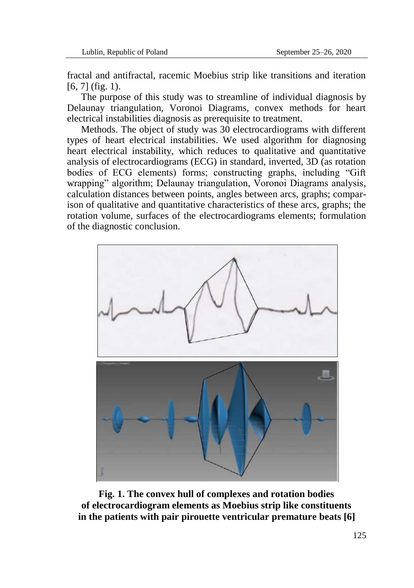fractal and antifractal, racemic Moebius strip like transitions and iteration  $[6, 7]$  (fig. 1).

The purpose of this study was to streamline of individual diagnosis by Delaunay triangulation, Voronoi Diagrams, convex methods for heart electrical instabilities diagnosis as prerequisite to treatment.

Methods. The object of study was 30 electrocardiograms with different types of heart electrical instabilities. We used algorithm for diagnosing heart electrical instability, which reduces to qualitative and quantitative analysis of electrocardiograms (ECG) in standard, inverted, 3D (as rotation bodies of ECG elements) forms; constructing graphs, including "Gift wrapping" algorithm; Delaunay triangulation, Voronoi Diagrams analysis, calculation distances between points, angles between arcs, graphs; comparison of qualitative and quantitative characteristics of these arcs, graphs; the rotation volume, surfaces of the electrocardiograms elements; formulation of the diagnostic conclusion.



**Fig. 1. The convex hull of complexes and rotation bodies of electrocardiogram elements as Moebius strip like constituents in the patients with pair pirouette ventricular premature beats [6]**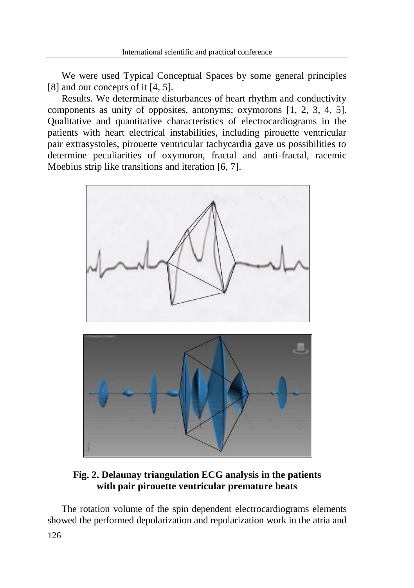We were used Typical Conceptual Spaces by some general principles [8] and our concepts of it [4, 5].

Results. We determinate disturbances of heart rhythm and conductivity components as unity of opposites, antonyms; oxymorons [1, 2, 3, 4, 5]. Qualitative and quantitative characteristics of electrocardiograms in the patients with heart electrical instabilities, including pirouette ventricular pair extrasystoles, pirouette ventricular tachycardia gave us possibilities to determine peculiarities of oxymoron, fractal and anti-fractal, racemic Moebius strip like transitions and iteration [6, 7].



**Fig. 2. Delaunay triangulation ECG analysis in the patients with pair pirouette ventricular premature beats**

The rotation volume of the spin dependent electrocardiograms elements showed the performed depolarization and repolarization work in the atria and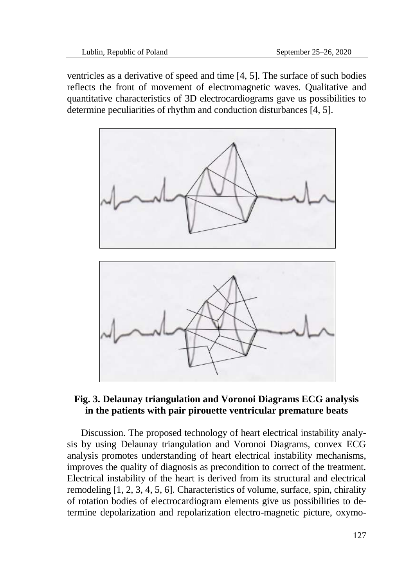ventricles as a derivative of speed and time [4, 5]. The surface of such bodies reflects the front of movement of electromagnetic waves. Qualitative and quantitative characteristics of 3D electrocardiograms gave us possibilities to determine peculiarities of rhythm and conduction disturbances [4, 5].



# **Fig. 3. Delaunay triangulation and Voronoi Diagrams ECG analysis in the patients with pair pirouette ventricular premature beats**

Discussion. The proposed technology of heart electrical instability analysis by using Delaunay triangulation and Voronoi Diagrams, convex ECG analysis promotes understanding of heart electrical instability mechanisms, improves the quality of diagnosis as precondition to correct of the treatment. Electrical instability of the heart is derived from its structural and electrical remodeling [1, 2, 3, 4, 5, 6]. Characteristics of volume, surface, spin, chirality of rotation bodies of electrocardiogram elements give us possibilities to determine depolarization and repolarization electro-magnetic picture, oxymo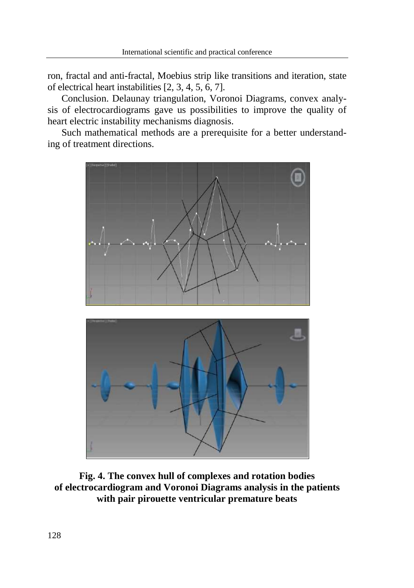ron, fractal and anti-fractal, Moebius strip like transitions and iteration, state of electrical heart instabilities [2, 3, 4, 5, 6, 7].

Conclusion. Delaunay triangulation, Voronoi Diagrams, convex analysis of electrocardiograms gave us possibilities to improve the quality of heart electric instability mechanisms diagnosis.

Such mathematical methods are a prerequisite for a better understanding of treatment directions.





**Fig. 4. The convex hull of complexes and rotation bodies of electrocardiogram and Voronoi Diagrams analysis in the patients with pair pirouette ventricular premature beats**